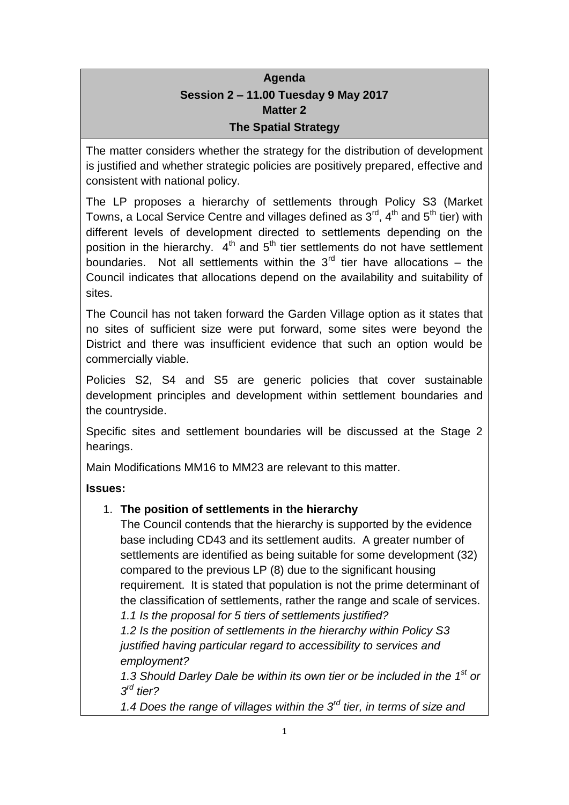# **Agenda Session 2 – 11.00 Tuesday 9 May 2017 Matter 2 The Spatial Strategy**

The matter considers whether the strategy for the distribution of development is justified and whether strategic policies are positively prepared, effective and consistent with national policy.

The LP proposes a hierarchy of settlements through Policy S3 (Market Towns, a Local Service Centre and villages defined as  $3^{\text{rd}}$ ,  $4^{\text{th}}$  and  $5^{\text{th}}$  tier) with different levels of development directed to settlements depending on the position in the hierarchy.  $4<sup>th</sup>$  and  $5<sup>th</sup>$  tier settlements do not have settlement boundaries. Not all settlements within the  $3<sup>rd</sup>$  tier have allocations – the Council indicates that allocations depend on the availability and suitability of sites.

The Council has not taken forward the Garden Village option as it states that no sites of sufficient size were put forward, some sites were beyond the District and there was insufficient evidence that such an option would be commercially viable.

Policies S2, S4 and S5 are generic policies that cover sustainable development principles and development within settlement boundaries and the countryside.

Specific sites and settlement boundaries will be discussed at the Stage 2 hearings.

Main Modifications MM16 to MM23 are relevant to this matter.

**Issues:**

# 1. **The position of settlements in the hierarchy**

The Council contends that the hierarchy is supported by the evidence base including CD43 and its settlement audits. A greater number of settlements are identified as being suitable for some development (32) compared to the previous LP (8) due to the significant housing requirement. It is stated that population is not the prime determinant of the classification of settlements, rather the range and scale of services. *1.1 Is the proposal for 5 tiers of settlements justified?*

*1.2 Is the position of settlements in the hierarchy within Policy S3 justified having particular regard to accessibility to services and employment?*

*1.3 Should Darley Dale be within its own tier or be included in the 1st or 3 rd tier?*

*1.4 Does the range of villages within the 3rd tier, in terms of size and*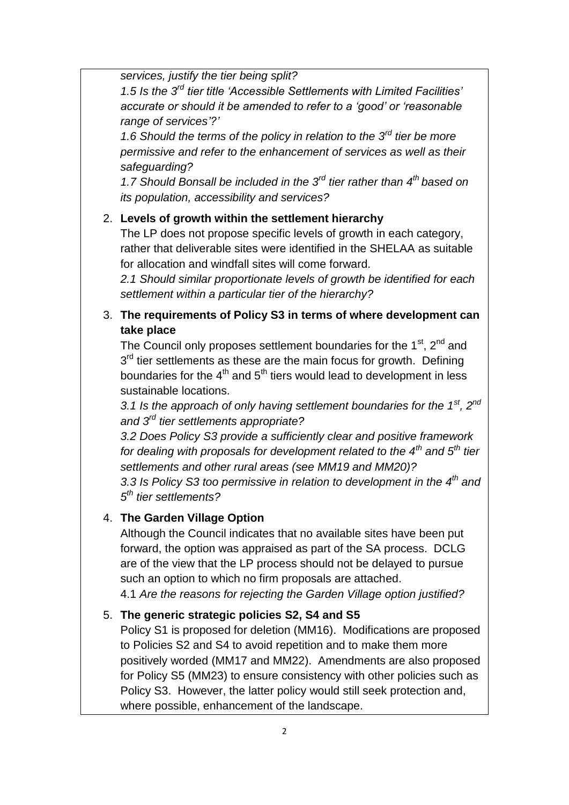*services, justify the tier being split?*

*1.5 Is the 3rd tier title 'Accessible Settlements with Limited Facilities' accurate or should it be amended to refer to a 'good' or 'reasonable range of services'?'*

*1.6 Should the terms of the policy in relation to the 3rd tier be more permissive and refer to the enhancement of services as well as their safeguarding?*

*1.7 Should Bonsall be included in the 3rd tier rather than 4th based on its population, accessibility and services?*

#### 2. **Levels of growth within the settlement hierarchy**

The LP does not propose specific levels of growth in each category, rather that deliverable sites were identified in the SHELAA as suitable for allocation and windfall sites will come forward.

*2.1 Should similar proportionate levels of growth be identified for each settlement within a particular tier of the hierarchy?*

#### 3. **The requirements of Policy S3 in terms of where development can take place**

The Council only proposes settlement boundaries for the  $1<sup>st</sup>$ ,  $2<sup>nd</sup>$  and 3<sup>rd</sup> tier settlements as these are the main focus for growth. Defining boundaries for the  $4<sup>th</sup>$  and  $5<sup>th</sup>$  tiers would lead to development in less sustainable locations.

*3.1 Is the approach of only having settlement boundaries for the 1st, 2nd and 3rd tier settlements appropriate?*

*3.2 Does Policy S3 provide a sufficiently clear and positive framework for dealing with proposals for development related to the 4th and 5th tier settlements and other rural areas (see MM19 and MM20)?*

*3.3 Is Policy S3 too permissive in relation to development in the 4th and 5 th tier settlements?*

### 4. **The Garden Village Option**

Although the Council indicates that no available sites have been put forward, the option was appraised as part of the SA process. DCLG are of the view that the LP process should not be delayed to pursue such an option to which no firm proposals are attached.

4.1 *Are the reasons for rejecting the Garden Village option justified?*

### 5. **The generic strategic policies S2, S4 and S5**

Policy S1 is proposed for deletion (MM16). Modifications are proposed to Policies S2 and S4 to avoid repetition and to make them more positively worded (MM17 and MM22). Amendments are also proposed for Policy S5 (MM23) to ensure consistency with other policies such as Policy S3. However, the latter policy would still seek protection and, where possible, enhancement of the landscape.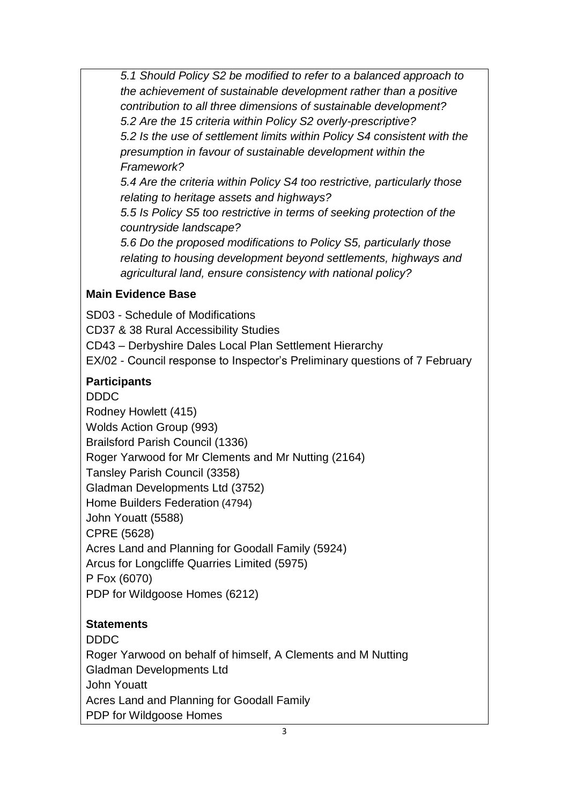*5.1 Should Policy S2 be modified to refer to a balanced approach to the achievement of sustainable development rather than a positive contribution to all three dimensions of sustainable development? 5.2 Are the 15 criteria within Policy S2 overly-prescriptive? 5.2 Is the use of settlement limits within Policy S4 consistent with the presumption in favour of sustainable development within the Framework?*

*5.4 Are the criteria within Policy S4 too restrictive, particularly those relating to heritage assets and highways?*

*5.5 Is Policy S5 too restrictive in terms of seeking protection of the countryside landscape?*

*5.6 Do the proposed modifications to Policy S5, particularly those relating to housing development beyond settlements, highways and agricultural land, ensure consistency with national policy?*

#### **Main Evidence Base**

SD03 - Schedule of Modifications

CD37 & 38 Rural Accessibility Studies

CD43 – Derbyshire Dales Local Plan Settlement Hierarchy

EX/02 - Council response to Inspector's Preliminary questions of 7 February

### **Participants**

DDDC Rodney Howlett (415) Wolds Action Group (993) Brailsford Parish Council (1336) Roger Yarwood for Mr Clements and Mr Nutting (2164) Tansley Parish Council (3358) Gladman Developments Ltd (3752) Home Builders Federation (4794) John Youatt (5588) CPRE (5628) Acres Land and Planning for Goodall Family (5924) Arcus for Longcliffe Quarries Limited (5975) P Fox (6070) PDP for Wildgoose Homes (6212)

# **Statements**

DDDC Roger Yarwood on behalf of himself, A Clements and M Nutting Gladman Developments Ltd John Youatt Acres Land and Planning for Goodall Family PDP for Wildgoose Homes